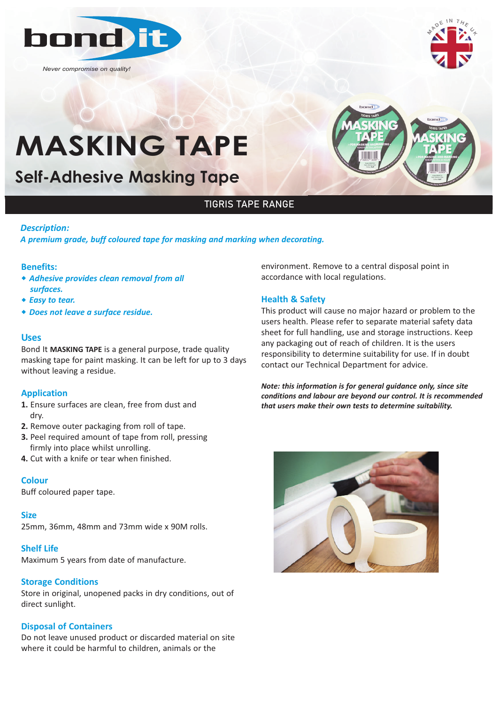

*Never compromise on quality!*



# **MASKING TAPE**

**Self-Adhesive Masking Tape**



### TIGRIS TAPE RANGE

#### *Description:*

*A premium grade, buff coloured tape for masking and marking when decorating.*

#### **Benefits:**

- w *Adhesive provides clean removal from all surfaces.*
- ◆ *Easy to tear.*
- w *Does not leave a surface residue.*

#### **Uses**

Bond It **MASKING TAPE** is a general purpose, trade quality masking tape for paint masking. It can be left for up to 3 days without leaving a residue.

#### **Application**

- **1.** Ensure surfaces are clean, free from dust and dry.
- **2.** Remove outer packaging from roll of tape.
- **3.** Peel required amount of tape from roll, pressing firmly into place whilst unrolling.
- **4.** Cut with a knife or tear when finished.

#### **Colour**

Buff coloured paper tape.

#### **Size**

25mm, 36mm, 48mm and 73mm wide x 90M rolls.

#### **Shelf Life**

Maximum 5 years from date of manufacture.

#### **Storage Conditions**

Store in original, unopened packs in dry conditions, out of direct sunlight.

#### **Disposal of Containers**

Do not leave unused product or discarded material on site where it could be harmful to children, animals or the

environment. Remove to a central disposal point in accordance with local regulations.

#### **Health & Safety**

This product will cause no major hazard or problem to the users health. Please refer to separate material safety data sheet for full handling, use and storage instructions. Keep any packaging out of reach of children. It is the users responsibility to determine suitability for use. If in doubt contact our Technical Department for advice.

*Note: this information is for general guidance only, since site conditions and labour are beyond our control. It is recommended that users make their own tests to determine suitability.*